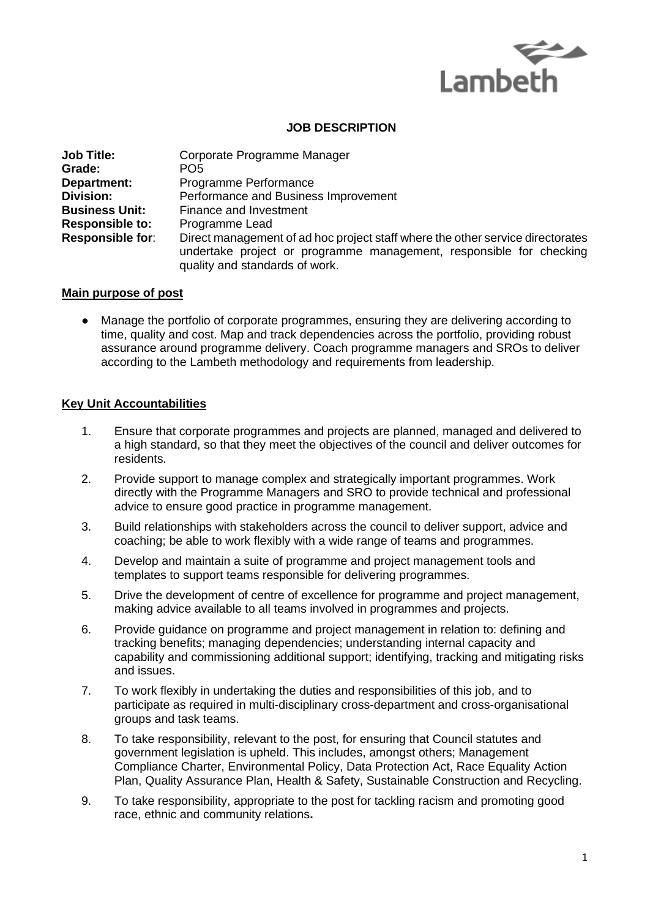

## **JOB DESCRIPTION**

| <b>Job Title:</b>       | Corporate Programme Manager                                                                                                                                                             |
|-------------------------|-----------------------------------------------------------------------------------------------------------------------------------------------------------------------------------------|
| Grade:                  | PO <sub>5</sub>                                                                                                                                                                         |
| <b>Department:</b>      | Programme Performance                                                                                                                                                                   |
| <b>Division:</b>        | Performance and Business Improvement                                                                                                                                                    |
| <b>Business Unit:</b>   | Finance and Investment                                                                                                                                                                  |
| <b>Responsible to:</b>  | Programme Lead                                                                                                                                                                          |
| <b>Responsible for:</b> | Direct management of ad hoc project staff where the other service directorates<br>undertake project or programme management, responsible for checking<br>quality and standards of work. |

## **Main purpose of post**

● Manage the portfolio of corporate programmes, ensuring they are delivering according to time, quality and cost. Map and track dependencies across the portfolio, providing robust assurance around programme delivery. Coach programme managers and SROs to deliver according to the Lambeth methodology and requirements from leadership.

## **Key Unit Accountabilities**

- 1. Ensure that corporate programmes and projects are planned, managed and delivered to a high standard, so that they meet the objectives of the council and deliver outcomes for residents.
- 2. Provide support to manage complex and strategically important programmes. Work directly with the Programme Managers and SRO to provide technical and professional advice to ensure good practice in programme management.
- 3. Build relationships with stakeholders across the council to deliver support, advice and coaching; be able to work flexibly with a wide range of teams and programmes.
- 4. Develop and maintain a suite of programme and project management tools and templates to support teams responsible for delivering programmes.
- 5. Drive the development of centre of excellence for programme and project management, making advice available to all teams involved in programmes and projects.
- 6. Provide guidance on programme and project management in relation to: defining and tracking benefits; managing dependencies; understanding internal capacity and capability and commissioning additional support; identifying, tracking and mitigating risks and issues.
- 7. To work flexibly in undertaking the duties and responsibilities of this job, and to participate as required in multi-disciplinary cross-department and cross-organisational groups and task teams.
- 8. To take responsibility, relevant to the post, for ensuring that Council statutes and government legislation is upheld. This includes, amongst others; Management Compliance Charter, Environmental Policy, Data Protection Act, Race Equality Action Plan, Quality Assurance Plan, Health & Safety, Sustainable Construction and Recycling.
- 9. To take responsibility, appropriate to the post for tackling racism and promoting good race, ethnic and community relations**.**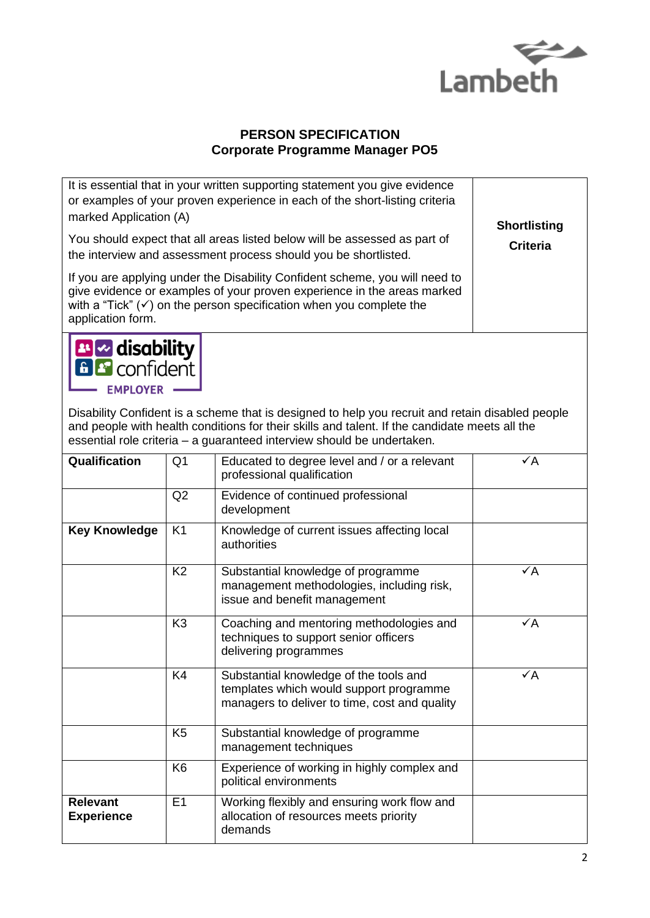

 $\overline{\phantom{a}}$ 

## **PERSON SPECIFICATION Corporate Programme Manager PO5**

| marked Application (A)                                       |                | It is essential that in your written supporting statement you give evidence<br>or examples of your proven experience in each of the short-listing criteria                                                                                                                  |                                        |
|--------------------------------------------------------------|----------------|-----------------------------------------------------------------------------------------------------------------------------------------------------------------------------------------------------------------------------------------------------------------------------|----------------------------------------|
|                                                              |                | You should expect that all areas listed below will be assessed as part of<br>the interview and assessment process should you be shortlisted.                                                                                                                                | <b>Shortlisting</b><br><b>Criteria</b> |
| application form.                                            |                | If you are applying under the Disability Confident scheme, you will need to<br>give evidence or examples of your proven experience in the areas marked<br>with a "Tick" $(\checkmark)$ on the person specification when you complete the                                    |                                        |
| <b>B</b> disability<br><b>B</b> confident<br><b>EMPLOYER</b> |                |                                                                                                                                                                                                                                                                             |                                        |
|                                                              |                | Disability Confident is a scheme that is designed to help you recruit and retain disabled people<br>and people with health conditions for their skills and talent. If the candidate meets all the<br>essential role criteria - a guaranteed interview should be undertaken. |                                        |
| Qualification                                                | Q <sub>1</sub> | Educated to degree level and / or a relevant<br>professional qualification                                                                                                                                                                                                  | $\checkmark$ A                         |
|                                                              | Q2             | Evidence of continued professional<br>development                                                                                                                                                                                                                           |                                        |
| <b>Key Knowledge</b>                                         | K <sub>1</sub> | Knowledge of current issues affecting local<br>authorities                                                                                                                                                                                                                  |                                        |
|                                                              | K <sub>2</sub> | Substantial knowledge of programme<br>management methodologies, including risk,<br>issue and benefit management                                                                                                                                                             | $\checkmark$ A                         |
|                                                              | K <sub>3</sub> | Coaching and mentoring methodologies and<br>techniques to support senior officers<br>delivering programmes                                                                                                                                                                  | $\checkmark$ A                         |
|                                                              | K4             | Substantial knowledge of the tools and<br>templates which would support programme<br>managers to deliver to time, cost and quality                                                                                                                                          | $\checkmark$ A                         |
|                                                              | K <sub>5</sub> | Substantial knowledge of programme<br>management techniques                                                                                                                                                                                                                 |                                        |
|                                                              | K <sub>6</sub> | Experience of working in highly complex and<br>political environments                                                                                                                                                                                                       |                                        |
| <b>Relevant</b><br><b>Experience</b>                         | E1             | Working flexibly and ensuring work flow and<br>allocation of resources meets priority<br>demands                                                                                                                                                                            |                                        |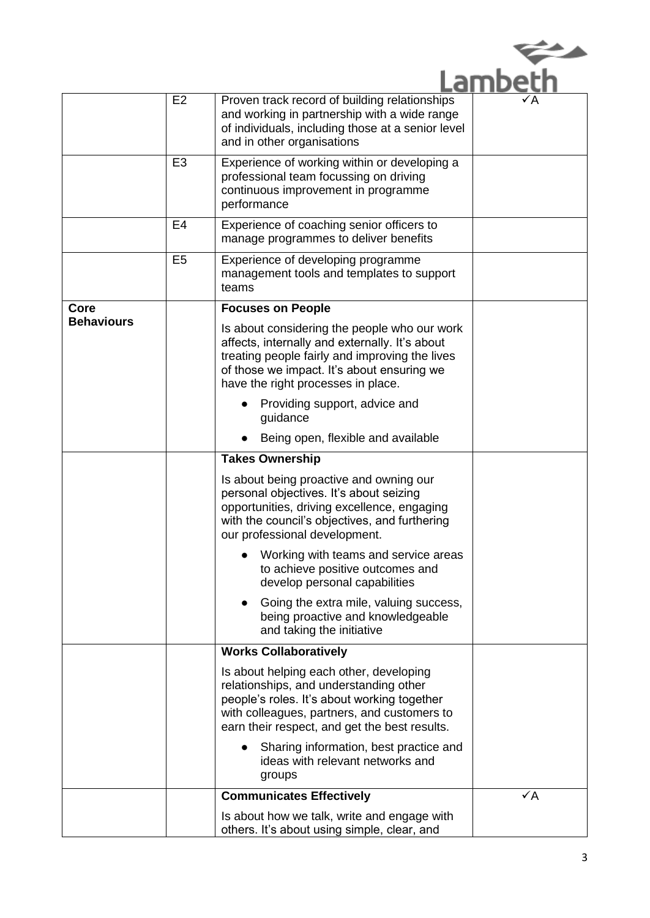| ns | ⁄ Δ |
|----|-----|

|                   | E <sub>2</sub> | Proven track record of building relationships<br>and working in partnership with a wide range<br>of individuals, including those at a senior level<br>and in other organisations                                                     | $\sqrt{A}$     |
|-------------------|----------------|--------------------------------------------------------------------------------------------------------------------------------------------------------------------------------------------------------------------------------------|----------------|
|                   | E <sub>3</sub> | Experience of working within or developing a<br>professional team focussing on driving<br>continuous improvement in programme<br>performance                                                                                         |                |
|                   | E4             | Experience of coaching senior officers to<br>manage programmes to deliver benefits                                                                                                                                                   |                |
|                   | E <sub>5</sub> | Experience of developing programme<br>management tools and templates to support<br>teams                                                                                                                                             |                |
| Core              |                | <b>Focuses on People</b>                                                                                                                                                                                                             |                |
| <b>Behaviours</b> |                | Is about considering the people who our work<br>affects, internally and externally. It's about<br>treating people fairly and improving the lives<br>of those we impact. It's about ensuring we<br>have the right processes in place. |                |
|                   |                | Providing support, advice and<br>guidance                                                                                                                                                                                            |                |
|                   |                | Being open, flexible and available                                                                                                                                                                                                   |                |
|                   |                | <b>Takes Ownership</b>                                                                                                                                                                                                               |                |
|                   |                | Is about being proactive and owning our<br>personal objectives. It's about seizing<br>opportunities, driving excellence, engaging<br>with the council's objectives, and furthering<br>our professional development.                  |                |
|                   |                | Working with teams and service areas<br>to achieve positive outcomes and<br>develop personal capabilities                                                                                                                            |                |
|                   |                | Going the extra mile, valuing success,<br>being proactive and knowledgeable<br>and taking the initiative                                                                                                                             |                |
|                   |                | <b>Works Collaboratively</b>                                                                                                                                                                                                         |                |
|                   |                | Is about helping each other, developing<br>relationships, and understanding other<br>people's roles. It's about working together<br>with colleagues, partners, and customers to<br>earn their respect, and get the best results.     |                |
|                   |                | Sharing information, best practice and<br>ideas with relevant networks and<br>groups                                                                                                                                                 |                |
|                   |                | <b>Communicates Effectively</b>                                                                                                                                                                                                      | $\checkmark$ A |
|                   |                | Is about how we talk, write and engage with<br>others. It's about using simple, clear, and                                                                                                                                           |                |